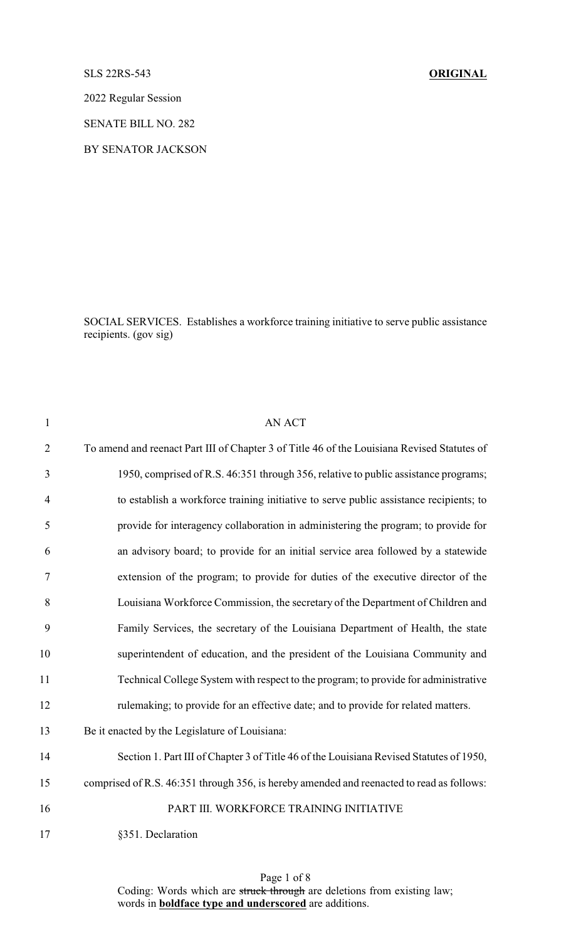## SLS 22RS-543 **ORIGINAL**

2022 Regular Session

SENATE BILL NO. 282

BY SENATOR JACKSON

SOCIAL SERVICES. Establishes a workforce training initiative to serve public assistance recipients. (gov sig)

| $\mathbf{1}$   | <b>AN ACT</b>                                                                               |
|----------------|---------------------------------------------------------------------------------------------|
| $\overline{2}$ | To amend and reenact Part III of Chapter 3 of Title 46 of the Louisiana Revised Statutes of |
| 3              | 1950, comprised of R.S. 46:351 through 356, relative to public assistance programs;         |
| $\overline{4}$ | to establish a workforce training initiative to serve public assistance recipients; to      |
| 5              | provide for interagency collaboration in administering the program; to provide for          |
| 6              | an advisory board; to provide for an initial service area followed by a statewide           |
| $\tau$         | extension of the program; to provide for duties of the executive director of the            |
| 8              | Louisiana Workforce Commission, the secretary of the Department of Children and             |
| 9              | Family Services, the secretary of the Louisiana Department of Health, the state             |
| 10             | superintendent of education, and the president of the Louisiana Community and               |
| 11             | Technical College System with respect to the program; to provide for administrative         |
| 12             | rulemaking; to provide for an effective date; and to provide for related matters.           |
| 13             | Be it enacted by the Legislature of Louisiana:                                              |
| 14             | Section 1. Part III of Chapter 3 of Title 46 of the Louisiana Revised Statutes of 1950,     |
| 15             | comprised of R.S. 46:351 through 356, is hereby amended and reenacted to read as follows:   |
| 16             | PART III. WORKFORCE TRAINING INITIATIVE                                                     |
| 17             | §351. Declaration                                                                           |

Page 1 of 8 Coding: Words which are struck through are deletions from existing law; words in **boldface type and underscored** are additions.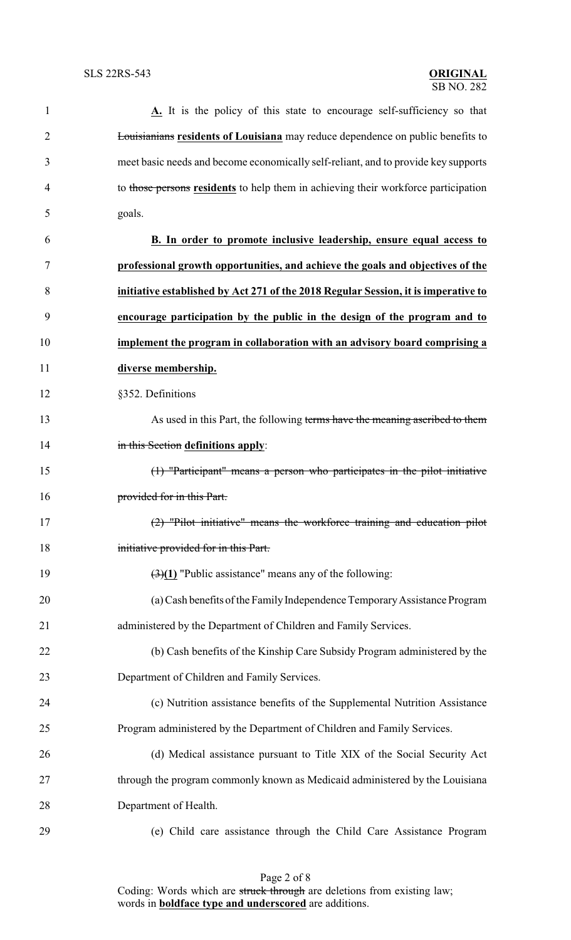| 1              | A. It is the policy of this state to encourage self-sufficiency so that                |
|----------------|----------------------------------------------------------------------------------------|
| $\overline{2}$ | <b>Louisianians residents of Louisiana</b> may reduce dependence on public benefits to |
| 3              | meet basic needs and become economically self-reliant, and to provide key supports     |
| 4              | to those persons residents to help them in achieving their workforce participation     |
| 5              | goals.                                                                                 |
| 6              | B. In order to promote inclusive leadership, ensure equal access to                    |
| 7              | professional growth opportunities, and achieve the goals and objectives of the         |
| 8              | initiative established by Act 271 of the 2018 Regular Session, it is imperative to     |
| 9              | encourage participation by the public in the design of the program and to              |
| 10             | implement the program in collaboration with an advisory board comprising a             |
| 11             | diverse membership.                                                                    |
| 12             | §352. Definitions                                                                      |
| 13             | As used in this Part, the following terms have the meaning ascribed to them            |
| 14             | in this Section definitions apply:                                                     |
| 15             | (1) "Participant" means a person who participates in the pilot initiative              |
| 16             | provided for in this Part.                                                             |
| 17             | (2) "Pilot initiative" means the workforce training and education pilot                |
| 18             | initiative provided for in this Part.                                                  |
| 19             | $\left(\frac{3}{1}\right)$ "Public assistance" means any of the following:             |
| 20             | (a) Cash benefits of the Family Independence Temporary Assistance Program              |
| 21             | administered by the Department of Children and Family Services.                        |
| 22             | (b) Cash benefits of the Kinship Care Subsidy Program administered by the              |
| 23             | Department of Children and Family Services.                                            |
| 24             | (c) Nutrition assistance benefits of the Supplemental Nutrition Assistance             |
| 25             | Program administered by the Department of Children and Family Services.                |
| 26             | (d) Medical assistance pursuant to Title XIX of the Social Security Act                |
| 27             | through the program commonly known as Medicaid administered by the Louisiana           |
| 28             | Department of Health.                                                                  |
| 29             | (e) Child care assistance through the Child Care Assistance Program                    |

Page 2 of 8 Coding: Words which are struck through are deletions from existing law; words in **boldface type and underscored** are additions.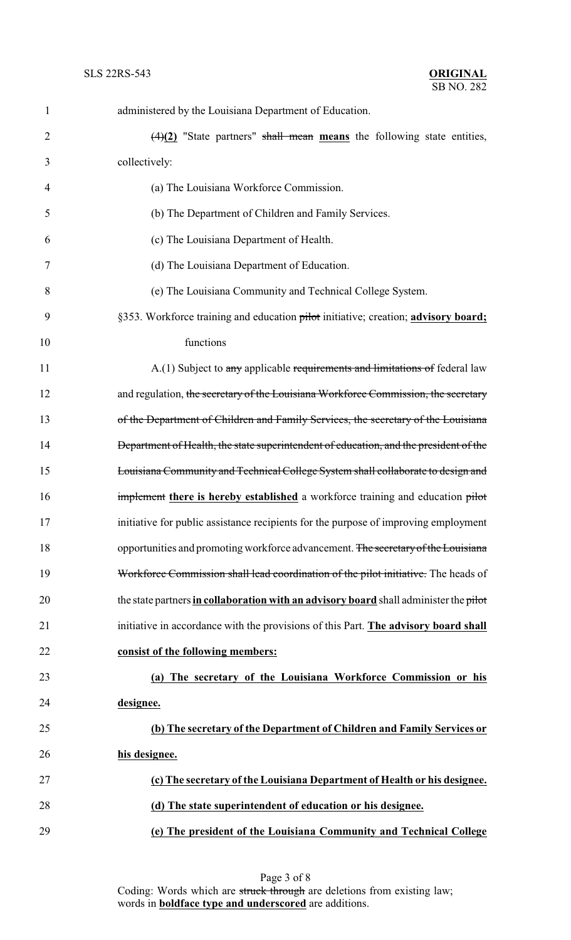| $\mathbf{1}$   | administered by the Louisiana Department of Education.                                |
|----------------|---------------------------------------------------------------------------------------|
| $\overline{2}$ | $\frac{4}{2}$ "State partners" shall mean means the following state entities,         |
| 3              | collectively:                                                                         |
| 4              | (a) The Louisiana Workforce Commission.                                               |
| 5              | (b) The Department of Children and Family Services.                                   |
| 6              | (c) The Louisiana Department of Health.                                               |
| 7              | (d) The Louisiana Department of Education.                                            |
| 8              | (e) The Louisiana Community and Technical College System.                             |
| 9              | §353. Workforce training and education pilot initiative; creation; advisory board;    |
| 10             | functions                                                                             |
| 11             | A.(1) Subject to any applicable requirements and limitations of federal law           |
| 12             | and regulation, the secretary of the Louisiana Workforce Commission, the secretary    |
| 13             | of the Department of Children and Family Services, the secretary of the Louisiana     |
| 14             | Department of Health, the state superintendent of education, and the president of the |
| 15             | Louisiana Community and Technical College System shall collaborate to design and      |
| 16             | implement there is hereby established a workforce training and education pilot        |
| 17             | initiative for public assistance recipients for the purpose of improving employment   |
| 18             | opportunities and promoting workforce advancement. The secretary of the Louisiana     |
| 19             | Workforce Commission shall lead coordination of the pilot initiative. The heads of    |
| 20             | the state partners in collaboration with an advisory board shall administer the pilot |
| 21             | initiative in accordance with the provisions of this Part. The advisory board shall   |
| 22             | consist of the following members:                                                     |
| 23             | (a) The secretary of the Louisiana Workforce Commission or his                        |
| 24             | designee.                                                                             |
| 25             | (b) The secretary of the Department of Children and Family Services or                |
| 26             | his designee.                                                                         |
| 27             | (c) The secretary of the Louisiana Department of Health or his designee.              |
| 28             | (d) The state superintendent of education or his designee.                            |
| 29             | (e) The president of the Louisiana Community and Technical College                    |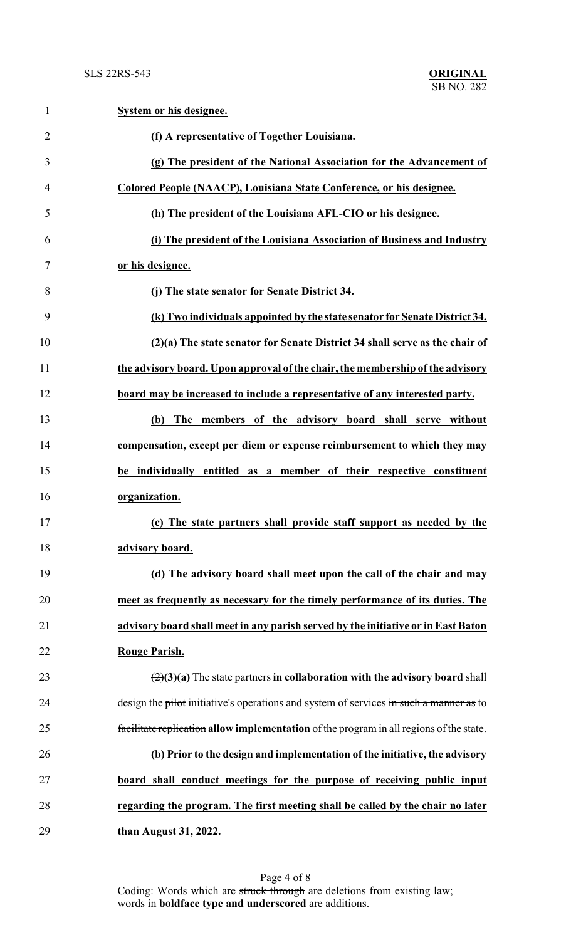| $\mathbf{1}$   | System or his designee.                                                                         |
|----------------|-------------------------------------------------------------------------------------------------|
| $\overline{2}$ | (f) A representative of Together Louisiana.                                                     |
| 3              | (g) The president of the National Association for the Advancement of                            |
| $\overline{4}$ | Colored People (NAACP), Louisiana State Conference, or his designee.                            |
| 5              | (h) The president of the Louisiana AFL-CIO or his designee.                                     |
| 6              | (i) The president of the Louisiana Association of Business and Industry                         |
| 7              | or his designee.                                                                                |
| 8              | (j) The state senator for Senate District 34.                                                   |
| 9              | (k) Two individuals appointed by the state senator for Senate District 34.                      |
| 10             | (2)(a) The state senator for Senate District 34 shall serve as the chair of                     |
| 11             | the advisory board. Upon approval of the chair, the membership of the advisory                  |
| 12             | board may be increased to include a representative of any interested party.                     |
| 13             | (b) The members of the advisory board shall serve without                                       |
| 14             | compensation, except per diem or expense reimbursement to which they may                        |
| 15             | be individually entitled as a member of their respective constituent                            |
| 16             | organization.                                                                                   |
| 17             | (c) The state partners shall provide staff support as needed by the                             |
| 18             | advisory board.                                                                                 |
| 19             | (d) The advisory board shall meet upon the call of the chair and may                            |
| 20             | meet as frequently as necessary for the timely performance of its duties. The                   |
| 21             | advisory board shall meet in any parish served by the initiative or in East Baton               |
| 22             | Rouge Parish.                                                                                   |
| 23             | $\left(\frac{2}{3}\right)(a)$ The state partners in collaboration with the advisory board shall |
| 24             | design the pilot initiative's operations and system of services in such a manner as to          |
| 25             | facilitate replication allow implementation of the program in all regions of the state.         |
| 26             | (b) Prior to the design and implementation of the initiative, the advisory                      |
| 27             | board shall conduct meetings for the purpose of receiving public input                          |
| 28             | regarding the program. The first meeting shall be called by the chair no later                  |
| 29             | than August 31, 2022.                                                                           |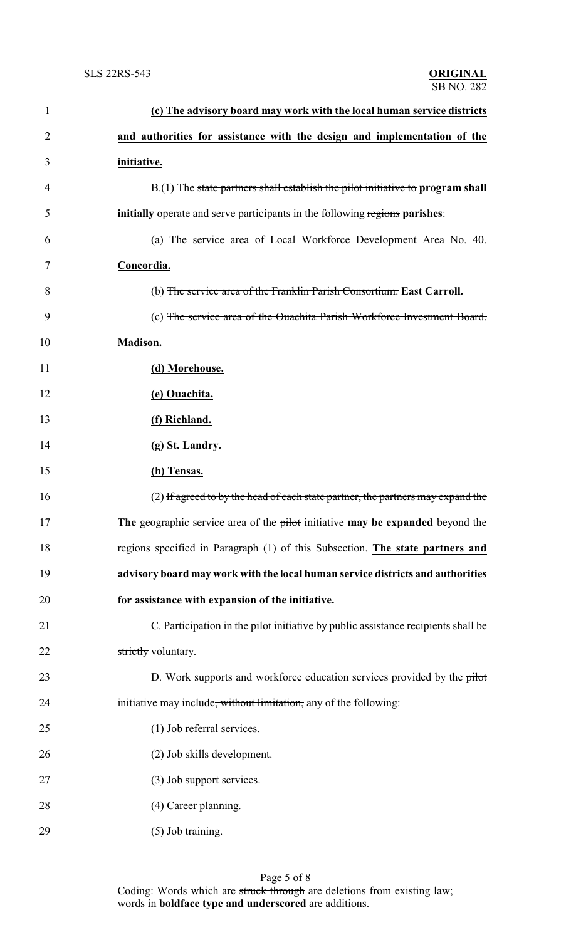| $\mathbf{1}$ | (c) The advisory board may work with the local human service districts             |
|--------------|------------------------------------------------------------------------------------|
| 2            | and authorities for assistance with the design and implementation of the           |
| 3            | initiative.                                                                        |
| 4            | $B(1)$ The state partners shall establish the pilot initiative to program shall    |
| 5            | <b>initially</b> operate and serve participants in the following regions parishes: |
| 6            | (a) The service area of Local Workforce Development Area No. $40.$                 |
| 7            | Concordia.                                                                         |
| 8            | (b) The service area of the Franklin Parish Consortium. East Carroll.              |
| 9            | (c) The service area of the Ouachita Parish Workforce Investment Board.            |
| 10           | Madison.                                                                           |
| 11           | (d) Morehouse.                                                                     |
| 12           | (e) Ouachita.                                                                      |
| 13           | (f) Richland.                                                                      |
| 14           | (g) St. Landry.                                                                    |
| 15           | (h) Tensas.                                                                        |
| 16           | (2) If agreed to by the head of each state partner, the partners may expand the    |
| 17           | The geographic service area of the pilot initiative may be expanded beyond the     |
| 18           | regions specified in Paragraph (1) of this Subsection. The state partners and      |
| 19           | advisory board may work with the local human service districts and authorities     |
| 20           | for assistance with expansion of the initiative.                                   |
| 21           | C. Participation in the pilot initiative by public assistance recipients shall be  |
| 22           | strictly voluntary.                                                                |
| 23           | D. Work supports and workforce education services provided by the pilot            |
| 24           | initiative may include, without limitation, any of the following:                  |
| 25           | (1) Job referral services.                                                         |
| 26           | (2) Job skills development.                                                        |
| 27           | (3) Job support services.                                                          |
| 28           | (4) Career planning.                                                               |
| 29           | $(5)$ Job training.                                                                |

Page 5 of 8 Coding: Words which are struck through are deletions from existing law; words in **boldface type and underscored** are additions.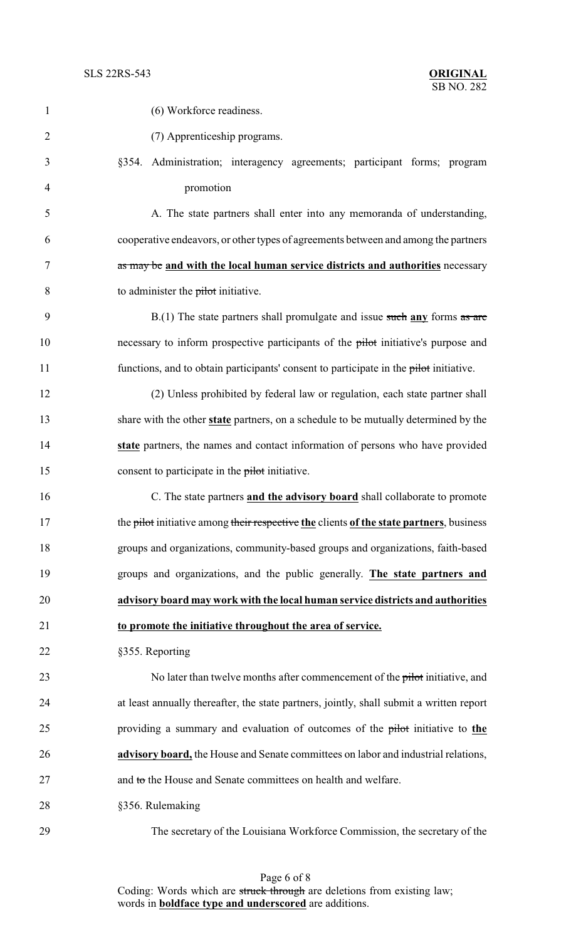| 1              | (6) Workforce readiness.                                                                 |
|----------------|------------------------------------------------------------------------------------------|
| $\overline{2}$ | (7) Apprenticeship programs.                                                             |
| 3              | §354. Administration; interagency agreements; participant forms; program                 |
| 4              | promotion                                                                                |
| 5              | A. The state partners shall enter into any memoranda of understanding,                   |
| 6              | cooperative endeavors, or other types of agreements between and among the partners       |
| 7              | as may be and with the local human service districts and authorities necessary           |
| 8              | to administer the pilot initiative.                                                      |
| 9              | $B(1)$ The state partners shall promulgate and issue such any forms as are               |
| 10             | necessary to inform prospective participants of the pilot initiative's purpose and       |
| 11             | functions, and to obtain participants' consent to participate in the pilot initiative.   |
| 12             | (2) Unless prohibited by federal law or regulation, each state partner shall             |
| 13             | share with the other state partners, on a schedule to be mutually determined by the      |
| 14             | state partners, the names and contact information of persons who have provided           |
| 15             | consent to participate in the pilot initiative.                                          |
| 16             | C. The state partners and the advisory board shall collaborate to promote                |
| 17             | the pilot initiative among their respective the clients of the state partners, business  |
| 18             | groups and organizations, community-based groups and organizations, faith-based          |
| 19             | groups and organizations, and the public generally. The state partners and               |
| 20             | advisory board may work with the local human service districts and authorities           |
| 21             | to promote the initiative throughout the area of service.                                |
| 22             | §355. Reporting                                                                          |
| 23             | No later than twelve months after commencement of the pilot initiative, and              |
| 24             | at least annually thereafter, the state partners, jointly, shall submit a written report |
| 25             | providing a summary and evaluation of outcomes of the pilot initiative to the            |
| 26             | advisory board, the House and Senate committees on labor and industrial relations,       |
| 27             | and to the House and Senate committees on health and welfare.                            |
| 28             | §356. Rulemaking                                                                         |
|                |                                                                                          |

The secretary of the Louisiana Workforce Commission, the secretary of the

Page 6 of 8 Coding: Words which are struck through are deletions from existing law; words in **boldface type and underscored** are additions.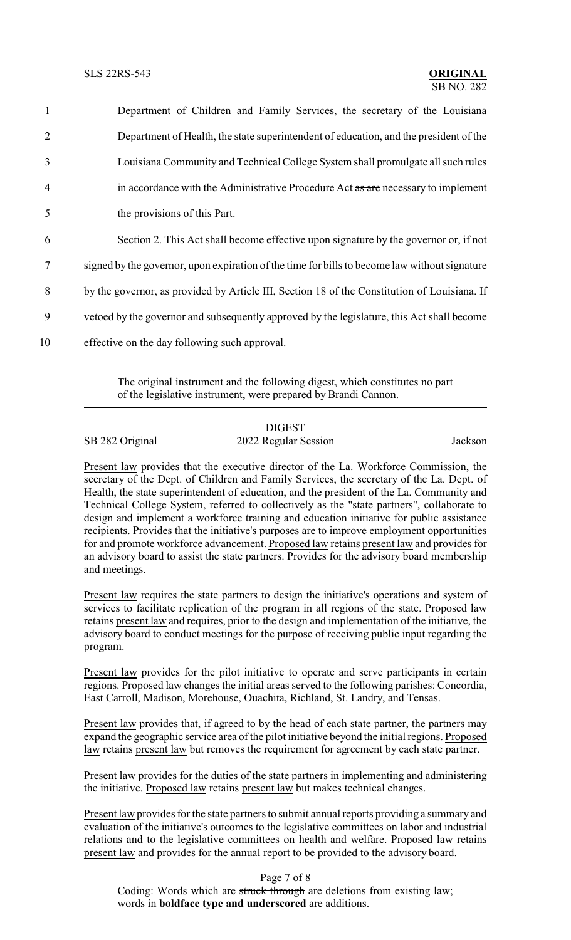| $\mathbf{1}$   | Department of Children and Family Services, the secretary of the Louisiana                    |
|----------------|-----------------------------------------------------------------------------------------------|
| 2              | Department of Health, the state superintendent of education, and the president of the         |
| 3              | Louisiana Community and Technical College System shall promulgate all such rules              |
| $\overline{4}$ | in accordance with the Administrative Procedure Act as are necessary to implement             |
| 5              | the provisions of this Part.                                                                  |
| 6              | Section 2. This Act shall become effective upon signature by the governor or, if not          |
| 7              | signed by the governor, upon expiration of the time for bills to become law without signature |
| 8              | by the governor, as provided by Article III, Section 18 of the Constitution of Louisiana. If  |
| 9              | vetoed by the governor and subsequently approved by the legislature, this Act shall become    |
| 10             | effective on the day following such approval.                                                 |

The original instrument and the following digest, which constitutes no part of the legislative instrument, were prepared by Brandi Cannon.

## DIGEST SB 282 Original 2022 Regular Session Jackson

Present law provides that the executive director of the La. Workforce Commission, the secretary of the Dept. of Children and Family Services, the secretary of the La. Dept. of Health, the state superintendent of education, and the president of the La. Community and Technical College System, referred to collectively as the "state partners", collaborate to design and implement a workforce training and education initiative for public assistance recipients. Provides that the initiative's purposes are to improve employment opportunities for and promote workforce advancement. Proposed law retains present law and provides for an advisory board to assist the state partners. Provides for the advisory board membership and meetings.

Present law requires the state partners to design the initiative's operations and system of services to facilitate replication of the program in all regions of the state. Proposed law retains present law and requires, prior to the design and implementation of the initiative, the advisory board to conduct meetings for the purpose of receiving public input regarding the program.

Present law provides for the pilot initiative to operate and serve participants in certain regions. Proposed law changes the initial areas served to the following parishes: Concordia, East Carroll, Madison, Morehouse, Ouachita, Richland, St. Landry, and Tensas.

Present law provides that, if agreed to by the head of each state partner, the partners may expand the geographic service area of the pilot initiative beyond the initial regions. Proposed law retains present law but removes the requirement for agreement by each state partner.

Present law provides for the duties of the state partners in implementing and administering the initiative. Proposed law retains present law but makes technical changes.

Present law provides for the state partners to submit annual reports providing a summary and evaluation of the initiative's outcomes to the legislative committees on labor and industrial relations and to the legislative committees on health and welfare. Proposed law retains present law and provides for the annual report to be provided to the advisory board.

Page 7 of 8

Coding: Words which are struck through are deletions from existing law; words in **boldface type and underscored** are additions.